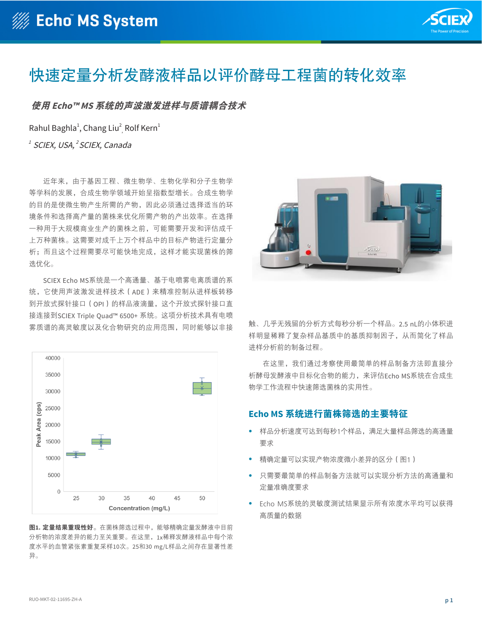

# 快速定量分析发酵液样品以评价酵母工程菌的转化效率

使用 Echo™ MS 系统的声波激发进样与质谱耦合技术

Rahul Baghla $^1$ , Chang Liu $^2$ , Rolf Kern $^1$  $R$ ahul Baghla<sup>1</sup>, Chang Liu<sup>2</sup>, Rolf Kern<sup>1</sup>

<sup>1</sup> SCIEX, USA,<sup>2</sup> SCIEX, Canada years due to advances in genetic engineering, microbiology,

近年来,由于基因工程、微生物学、生物化学和分子生物学 等学科的发展,合成生物学领域开始呈指数型增长。合成生物学 stelection of the strain of the synthetic biology of the strain of the strain of the strain of the strain of t<br>的目的是使微生物产生所需的产物,因此必须通过选择适当的环 境条件和选择高产量的菌株来优化所需产物的产出效率。在选<mark>择</mark> 一种用于大规模商业生产的菌株之前,可能需要开发和评估成千 before selection of one for scale up and use in commercial disciplines. The goal is to engineer microbes to create a desired 上万种菌株。这需要对成千上万个样品中的目标产物进行定量分 析;而且这个过程需要尽可能快地完成,这样才能实现菌株的筛 选优化。 production. This requires the quantitative analysis of the desired 上万种菌株。这需要对成千上万个样品中的目标产物进行定量分 的目的定误似生物厂生所而的厂物,凶叱必<mark>观</mark>通过匹拌坦日  $s$ election of the highest producing strain of the organism. Many  $s$  $t_{\rm p}$  to be developed and assessed and assessed and assessed and assessed and assessed and assessed and assessed and assessed and assessed and assessed and assessed and assessed and assessed and assessed and assessed a

SCIEX Echo MS系统是一个高通量、基于电喷雾电离质谱的系 统,它使用声波激发进样技术(ADE)来精准控制从进样板转移 到开放式探针接口 (OPI) 的样品液滴量, 这个开放式探针接口直 。<br>接连接到SCIEX Triple Quad™ 6500+ 系统。这项分析技术具有电喷 雾质谱的高灵敏度以及化合物研究的应用范围,同时能够以非接  $t_{\text{ref}}$  is the sensitivity and compound coverage of  $\alpha$ 



**图1. 定量结果重现性好**。在菌株筛选过程中,能够精确定量发酵液中目前 分析物的浓度差异的能力至关重要。在这里,1x稀释发酵液样品中每个浓 度水平的血管竖张麦重复采样10次。25和30 mg/L样品之间存在。 度水平的血管紧张素重复采样10次。25和30 mg/L样品之间存在显著性差<br><sub>尼</sub>  $\sigma$  30 mg/L samples were observed. 异。



<sub>触、几乎无残留的分析方式每秒分析一个样品。2.5 nL的小体积进</sub> 样明显稀释了复杂样品基质中的基质抑制因子,从而简化了样品 fermentation broth, with minimal sample preparation, was manner. The small droplet size (2.5nL) provides a significant …<br>进样分析前的制备过程。<br>- $\mathcal{L}$  in a synthetic biology workflow. 1キツJ亚114年)文示1キ叫全火1千円全火1平町111,火1町町10丁11 **进件**分析即的利奋过任。

在这里,我们通过考察使用最简单的样品制备方法即直接分 析酵母发酵液中目标化合物的能力,来评估Echo MS系统在合成生 物学工作流程中快速筛选菌株的实用性。

### Echo MS 系统进行菌株筛选的主要特征 screening of strains in a synthetic biology workflow.

- 样品分析速度可达到每秒1个样品,满足大量样品筛选的高通量 要求  $\overline{m}$   $\overline{m}$   $\overline{m}$  and  $\overline{m}$  and  $\overline{m}$  and  $\overline{m}$  and  $\overline{m}$  and  $\overline{m}$  and  $\overline{m}$  and  $\overline{m}$  and  $\overline{m}$  and  $\overline{m}$  and  $\overline{m}$  and  $\overline{m}$  and  $\overline{m}$  and  $\overline{m}$  and  $\overline{m}$  and  $\overline{m}$ **医求**
- 精确定量可以实现产物浓度微小差异的区分(图1)
- 只需要最简单的样品制备方法就可以实现分析方法的高通量和 定量准确度要求 • Sensitivity of the Echo MS System provided high-quality data throughput for screening large numbers of samples
- Echo MS系统的灵敏度测试结果显示所有浓度水平均可以获得 高质量的数据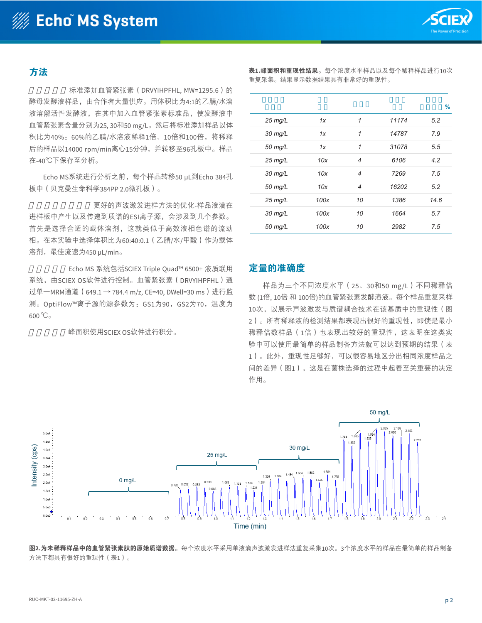

### 方法 **Methods** 大法 with angiotensin  $\mathcal{L}$  . We have generously were generously were generously were generously were generously were generously were generously were generously were generated as  $\mathcal{L}$

**Methods**

样品制备:标准添加血管紧张素(DRVYIHPFHL, MW=1295.6)的 酵母发酵液样品,由合作者大量供应。用体积比为4:1的乙腈/水溶 液溶解活性发酵液, 在其中加入血管紧张素标准品, 使发酵液中 血管紧张素含量分别为25,30和50 mg/L。然后将标准添加样品以体 积比为40%: 60%的乙腈/水溶液稀释1倍、10倍和100倍, 将稀释 acetonitrile colume and character at the column column in the store of the store of the stored at an algebraic<br>后的样品以14000 rpm/min离心15分钟,并转移至96孔板中。样品 centrifuged for 15 mins at 15 mins at 1000 mins and the Echo MS System, 50 mins at 1000 mins at 1000 mins at 1<br>在-40℃下保存至分析。 *Sample preparation:* Yeast fermentation broth samples, spiked 标准添加皿管紧张素(DRVYIHPFHL, MW=1295.6)B  $p \rightarrow 40^\circ$  shipping. Samples were stored at  $\sim 40^\circ$  until analysis.

Echo MS系统进行分析之前,每个样品转移50 μL到Echo 384孔 板中(贝克曼生命科学384PP 2.0微孔板)。  $P = P \cup P$  and  $P \cup P$   $P \cup P$   $P \cup P$   $P \cup P$   $P \cup P$   $P \cup P$   $P \cup P$   $P \cup P$   $P \cup P$   $P \cup P$   $P \cup P$   $P \cup P$   $P \cup P$   $P \cup P$   $P \cup P$   $P \cup P$   $P \cup P$   $P \cup P$   $P \cup P$   $P \cup P$   $P \cup P$   $P \cup P$   $P \cup P$   $P \cup P$   $P \cup P$   $P \cup P$   $P \cup P$   $P \cup P$   $P \cup P$   $P \cup P$  $\mathbb{W}$  transferred to an Equipment  $\mathbb{Z}$  ,  $\mathbb{W}$  and  $\mathbb{W}$  are  $\mathbb{Z}$  in  $\mathbb{Z}$  and  $\mathbb{Z}$  is a set of  $\mathbb{Z}$  is a set of  $\mathbb{Z}$  is a set of  $\mathbb{Z}$  is a set of  $\mathbb{Z}$  is a set of  $\mathbb{Z}$  is a set was transferred to an Echo 384-well plate (Beckman Life) (Beckman Life) (Beckman Life) (Beckman Life) (Beckman Life) ECHO M3ホ5JULTJカ竹/Bリ,

更好的声波激发进样方法的优化-样品液滴在 进样板中产生以及传递到质谱的ESI离子源,会涉及到几个参数。<br>· 首先是选择合适的载体溶剂,这就类似于高效液相色谱的流动 相。在本实验中选择体积比为60:40:0.1 (乙腈/水/甲酸)作为载体 溶剂,最佳流速为450 µL/min。 droplet ejection (ADE) method – the parameters involved in selected for this work, and this work, and the flow rate was optimized to  $450$ 

Echo MS 系统包括SCIEX Triple Quad™ 6500+ 液质联用 系统,由SCIEX OS软件进行控制。血管紧张素(DRVYIHPFHL)通 过单一MRM通道 ( 649.1 → 784.4 m/z, CE=40, DWell=30 ms ) 进行监 测。OptiFlow™离子源的源参数为:GS1为90,GS2为70,温度为<br>。。 600 ℃。  $\frac{1}{2000}$   $\sim$   $\frac{1}{200}$  $T_{\text{max}} = \frac{100,100,20,000,000,000,000,000,000,000}{\frac{1}{200,000,000,000,000,000,000,000,000}$  $600 \degree C$ 

峰面积使用SCIEX OS软件进行积分。  $S_1 \sqcup S_2$  of  $S_2$  of  $S_3$  of  $S_4$  of  $S_5$  of  $S_6$  of  $S_7$  of  $S_7$  of  $S_8$  of  $S_7$ 

表1.峰面积和重现性结果。每个浓度水平样品以及每个稀释样品进行10次 were performed at each concentration and each concentration. Very good and each distribution. Very good and th<br>The Fig. And Fig. and each distribution. Very good and the concentration. Very good and the concentration of t 重复采集。结果显示数据结果具有非常好的重现性。

**Table 1. Peak area and reproducibility results.** 10 replicate ejections

|           |      |              |       | ℅    |
|-----------|------|--------------|-------|------|
| $25$ mg/L | 1х   | 1            | 11174 | 5.2  |
| $30$ mg/L | 1x   | $\mathcal I$ | 14787 | 7.9  |
| 50 mg/L   | 1x   | $\mathcal I$ | 31078 | 5.5  |
| $25$ mg/L | 10x  | 4            | 6106  | 4.2  |
| $30$ mg/L | 10x  | 4            | 7269  | 7.5  |
| 50 mg/L   | 10x  | 4            | 16202 | 5.2  |
| $25$ mg/L | 100x | 10           | 1386  | 14.6 |
| $30$ mg/L | 100x | 10           | 1664  | 5.7  |
| 50 mg/L   | 100x | 10           | 2982  | 7.5  |

## 定量的准确度<br>Tacking

样品为三个不同浓度水平(25、30和50 mg/L)不同稀释倍 数 (1倍, 10倍 和 100倍)的血管紧张素发酵溶液。每个样品重复采样 10次, 以展示声波激发与质谱耦合技术在该基质中的重现性 (图 2)。所有稀释液的检测结果都表现出很好的重现性, 即使是最小 稀释倍数样品 (1倍) 也表现出较好的重现性, 这表明在这类实 验中可以使用最简单的样品制备方法就可以达到预期的结果(表 dilutions, even the least dilute sample (1x), indicating that experiment to achieve desired results (Table 1). In addition, the 1)。此外,重现性足够好,可以很容易地区分出相同浓度样品之 间的差异(图1),这是在菌株选择的过程中起着至关重要的决定 作用。 minimal sample preparation could be used in this type of  $1$ )。此外,重现性足够好,可以很谷易地区分出相同浓度样品。<br>  $\times$  figure 1), which is concentration differences used here (Figure 1), which is  $\times$  1), which is  $\times$  1), which is  $\times$  1), which is  $\times$  1), which is  $\times$  1), which is  $\times$  1), which is  $\times$  1), which is  $\times$  1). reproducibility was high enough to easily distinguish between the



**Figure 2. Raw MS data for angiotensin peptide in undiluted 1x sample.** Ten replicates were analyzed for each concentration, acquired with a single 图2.为未稀释样品中的血管紧张素肽的原始质谱数据。每个浓度水平采用单液滴声波激发进样法重复采集10次。3个浓度水平的样品在最简单的样品制备 方法下都具有很好的重现性(表1)。